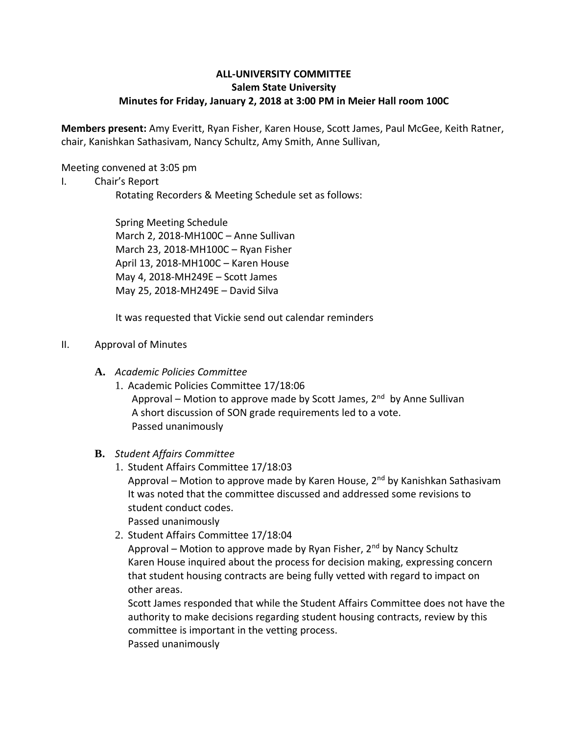# **ALL-UNIVERSITY COMMITTEE Salem State University Minutes for Friday, January 2, 2018 at 3:00 PM in Meier Hall room 100C**

**Members present:** Amy Everitt, Ryan Fisher, Karen House, Scott James, Paul McGee, Keith Ratner, chair, Kanishkan Sathasivam, Nancy Schultz, Amy Smith, Anne Sullivan,

Meeting convened at 3:05 pm

I. Chair's Report

Rotating Recorders & Meeting Schedule set as follows:

Spring Meeting Schedule March 2, 2018-MH100C – Anne Sullivan March 23, 2018-MH100C – Ryan Fisher April 13, 2018-MH100C – Karen House May 4, 2018-MH249E – Scott James May 25, 2018-MH249E – David Silva

It was requested that Vickie send out calendar reminders

## II. Approval of Minutes

- **A.** *Academic Policies Committee*
	- 1. Academic Policies Committee 17/18:06 Approval – Motion to approve made by Scott James, 2<sup>nd</sup> by Anne Sullivan A short discussion of SON grade requirements led to a vote. Passed unanimously

## **B.** *Student Affairs Committee*

- 1. Student Affairs Committee 17/18:03 Approval – Motion to approve made by Karen House, 2<sup>nd</sup> by Kanishkan Sathasivam It was noted that the committee discussed and addressed some revisions to student conduct codes. Passed unanimously
- 2. Student Affairs Committee 17/18:04

Approval – Motion to approve made by Ryan Fisher,  $2<sup>nd</sup>$  by Nancy Schultz Karen House inquired about the process for decision making, expressing concern that student housing contracts are being fully vetted with regard to impact on other areas.

Scott James responded that while the Student Affairs Committee does not have the authority to make decisions regarding student housing contracts, review by this committee is important in the vetting process. Passed unanimously